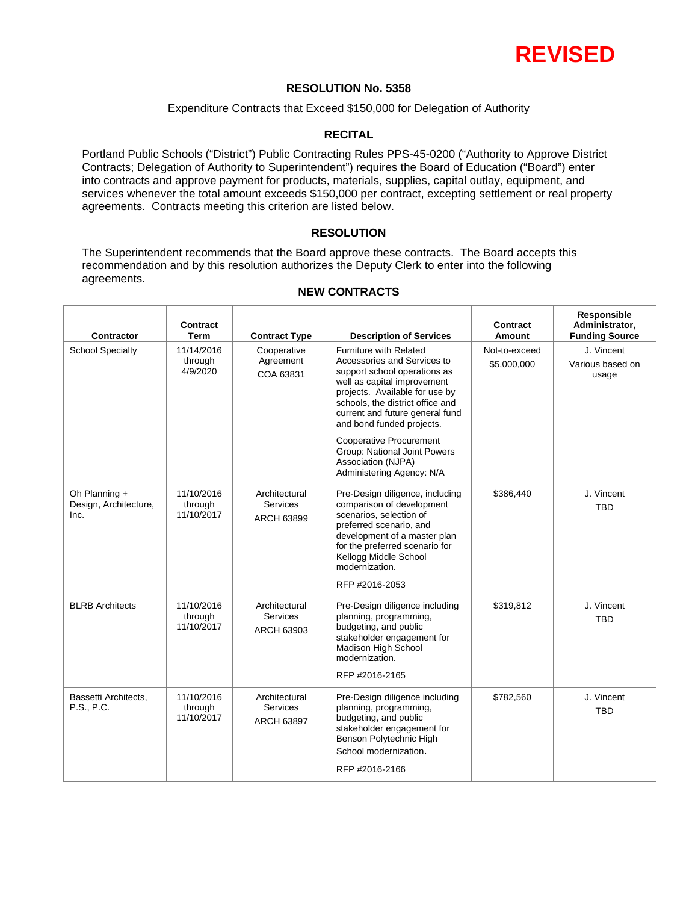

### **RESOLUTION No. 5358**

#### Expenditure Contracts that Exceed \$150,000 for Delegation of Authority

#### **RECITAL**

Portland Public Schools ("District") Public Contracting Rules PPS-45-0200 ("Authority to Approve District Contracts; Delegation of Authority to Superintendent") requires the Board of Education ("Board") enter into contracts and approve payment for products, materials, supplies, capital outlay, equipment, and services whenever the total amount exceeds \$150,000 per contract, excepting settlement or real property agreements. Contracts meeting this criterion are listed below.

#### **RESOLUTION**

The Superintendent recommends that the Board approve these contracts. The Board accepts this recommendation and by this resolution authorizes the Deputy Clerk to enter into the following agreements.

T

| <b>Contractor</b>                              | <b>Contract</b><br><b>Term</b>      | <b>Contract Type</b>                           | <b>Description of Services</b>                                                                                                                                                                                                                                                                                                      | <b>Contract</b><br>Amount    | Responsible<br>Administrator,<br><b>Funding Source</b> |
|------------------------------------------------|-------------------------------------|------------------------------------------------|-------------------------------------------------------------------------------------------------------------------------------------------------------------------------------------------------------------------------------------------------------------------------------------------------------------------------------------|------------------------------|--------------------------------------------------------|
| <b>School Specialty</b>                        | 11/14/2016<br>through<br>4/9/2020   | Cooperative<br>Agreement<br>COA 63831          | <b>Furniture with Related</b><br>Accessories and Services to<br>support school operations as<br>well as capital improvement<br>projects. Available for use by<br>schools, the district office and<br>current and future general fund<br>and bond funded projects.<br><b>Cooperative Procurement</b><br>Group: National Joint Powers | Not-to-exceed<br>\$5,000,000 | J. Vincent<br>Various based on<br>usage                |
|                                                |                                     |                                                | Association (NJPA)<br>Administering Agency: N/A                                                                                                                                                                                                                                                                                     |                              |                                                        |
| Oh Planning +<br>Design, Architecture,<br>Inc. | 11/10/2016<br>through<br>11/10/2017 | Architectural<br>Services<br>ARCH 63899        | Pre-Design diligence, including<br>comparison of development<br>scenarios, selection of<br>preferred scenario, and<br>development of a master plan<br>for the preferred scenario for<br>Kellogg Middle School<br>modernization.<br>RFP #2016-2053                                                                                   | \$386,440                    | J. Vincent<br><b>TBD</b>                               |
| <b>BLRB Architects</b>                         | 11/10/2016<br>through<br>11/10/2017 | Architectural<br><b>Services</b><br>ARCH 63903 | Pre-Design diligence including<br>planning, programming,<br>budgeting, and public<br>stakeholder engagement for<br>Madison High School<br>modernization.<br>RFP #2016-2165                                                                                                                                                          | \$319,812                    | J. Vincent<br><b>TBD</b>                               |
| Bassetti Architects,<br>P.S., P.C.             | 11/10/2016<br>through<br>11/10/2017 | Architectural<br>Services<br><b>ARCH 63897</b> | Pre-Design diligence including<br>planning, programming,<br>budgeting, and public<br>stakeholder engagement for<br>Benson Polytechnic High<br>School modernization.<br>RFP #2016-2166                                                                                                                                               | \$782,560                    | J. Vincent<br><b>TBD</b>                               |

#### **NEW CONTRACTS**